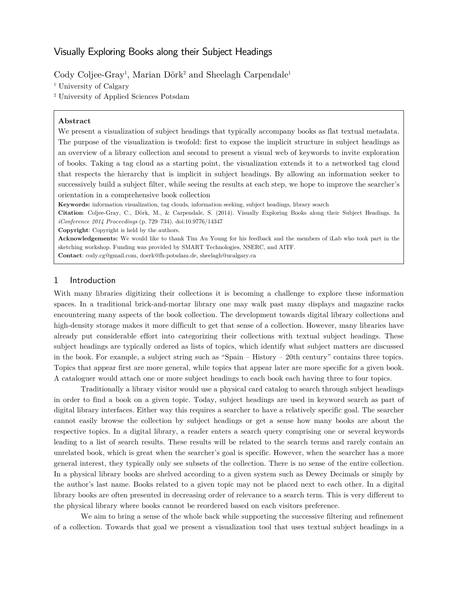# Visually Exploring Books along their Subject Headings

Cody Coljee-Gray<sup>1</sup>, Marian Dörk<sup>2</sup> and Sheelagh Carpendale<sup>1</sup>

<sup>1</sup> University of Calgary

<sup>2</sup> University of Applied Sciences Potsdam

#### **Abstract**

We present a visualization of subject headings that typically accompany books as flat textual metadata. The purpose of the visualization is twofold: first to expose the implicit structure in subject headings as an overview of a library collection and second to present a visual web of keywords to invite exploration of books. Taking a tag cloud as a starting point, the visualization extends it to a networked tag cloud that respects the hierarchy that is implicit in subject headings. By allowing an information seeker to successively build a subject filter, while seeing the results at each step, we hope to improve the searcher's orientation in a comprehensive book collection

**Keywords:** information visualization, tag clouds, information seeking, subject headings, library search

**Citation**: Coljee-Gray, C., Dörk, M., & Carpendale, S. (2014). Visually Exploring Books along their Subject Headings. In *iConference 2014 Proceedings* (p. 729–734). doi:10.9776/14347

**Copyright**: Copyright is held by the authors.

**Acknowledgements:** We would like to thank Tim Au Young for his feedback and the members of iLab who took part in the sketching workshop. Funding was provided by SMART Technologies, NSERC, and AITF.

**Contact**[: cody.cg@gmail.com,](mailto:cody.cg@gmail.com) [doerk@fh-potsdam.de,](mailto:doerk@fh-potsdam.de) [sheelagh@ucalgary.ca](mailto:sheelagh@ucalgary.ca)

#### 1 Introduction

With many libraries digitizing their collections it is becoming a challenge to explore these information spaces. In a traditional brick-and-mortar library one may walk past many displays and magazine racks encountering many aspects of the book collection. The development towards digital library collections and high-density storage makes it more difficult to get that sense of a collection. However, many libraries have already put considerable effort into categorizing their collections with textual subject headings. These subject headings are typically ordered as lists of topics, which identify what subject matters are discussed in the book. For example, a subject string such as "Spain – History – 20th century" contains three topics. Topics that appear first are more general, while topics that appear later are more specific for a given book. A cataloguer would attach one or more subject headings to each book each having three to four topics.

Traditionally a library visitor would use a physical card catalog to search through subject headings in order to find a book on a given topic. Today, subject headings are used in keyword search as part of digital library interfaces. Either way this requires a searcher to have a relatively specific goal. The searcher cannot easily browse the collection by subject headings or get a sense how many books are about the respective topics. In a digital library, a reader enters a search query comprising one or several keywords leading to a list of search results. These results will be related to the search terms and rarely contain an unrelated book, which is great when the searcher's goal is specific. However, when the searcher has a more general interest, they typically only see subsets of the collection. There is no sense of the entire collection. In a physical library books are shelved according to a given system such as Dewey Decimals or simply by the author's last name. Books related to a given topic may not be placed next to each other. In a digital library books are often presented in decreasing order of relevance to a search term. This is very different to the physical library where books cannot be reordered based on each visitors preference.

We aim to bring a sense of the whole back while supporting the successive filtering and refinement of a collection. Towards that goal we present a visualization tool that uses textual subject headings in a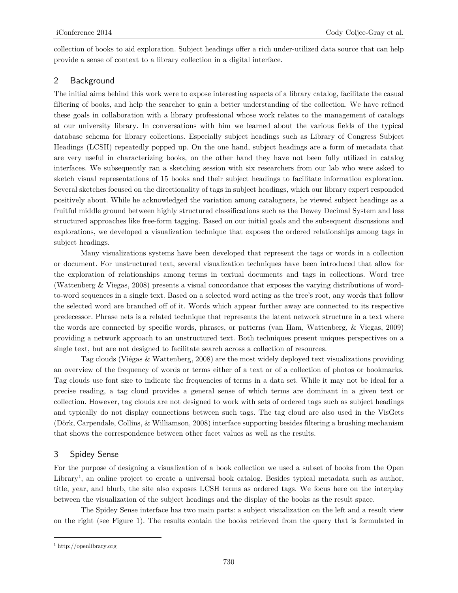collection of books to aid exploration. Subject headings offer a rich under-utilized data source that can help provide a sense of context to a library collection in a digital interface.

## 2 Background

The initial aims behind this work were to expose interesting aspects of a library catalog, facilitate the casual filtering of books, and help the searcher to gain a better understanding of the collection. We have refined these goals in collaboration with a library professional whose work relates to the management of catalogs at our university library. In conversations with him we learned about the various fields of the typical database schema for library collections. Especially subject headings such as Library of Congress Subject Headings (LCSH) repeatedly popped up. On the one hand, subject headings are a form of metadata that are very useful in characterizing books, on the other hand they have not been fully utilized in catalog interfaces. We subsequently ran a sketching session with six researchers from our lab who were asked to sketch visual representations of 15 books and their subject headings to facilitate information exploration. Several sketches focused on the directionality of tags in subject headings, which our library expert responded positively about. While he acknowledged the variation among cataloguers, he viewed subject headings as a fruitful middle ground between highly structured classifications such as the Dewey Decimal System and less structured approaches like free-form tagging. Based on our initial goals and the subsequent discussions and explorations, we developed a visualization technique that exposes the ordered relationships among tags in subject headings.

Many visualizations systems have been developed that represent the tags or words in a collection or document. For unstructured text, several visualization techniques have been introduced that allow for the exploration of relationships among terms in textual documents and tags in collections. Word tree (Wattenberg & Viegas, 2008) presents a visual concordance that exposes the varying distributions of wordto-word sequences in a single text. Based on a selected word acting as the tree's root, any words that follow the selected word are branched off of it. Words which appear further away are connected to its respective predecessor. Phrase nets is a related technique that represents the latent network structure in a text where the words are connected by specific words, phrases, or patterns (van Ham, Wattenberg, & Viegas, 2009) providing a network approach to an unstructured text. Both techniques present uniques perspectives on a single text, but are not designed to facilitate search across a collection of resources.

Tag clouds (Viégas & Wattenberg, 2008) are the most widely deployed text visualizations providing an overview of the frequency of words or terms either of a text or of a collection of photos or bookmarks. Tag clouds use font size to indicate the frequencies of terms in a data set. While it may not be ideal for a precise reading, a tag cloud provides a general sense of which terms are dominant in a given text or collection. However, tag clouds are not designed to work with sets of ordered tags such as subject headings and typically do not display connections between such tags. The tag cloud are also used in the VisGets (Dörk, Carpendale, Collins, & Williamson, 2008) interface supporting besides filtering a brushing mechanism that shows the correspondence between other facet values as well as the results.

#### 3 Spidey Sense

For the purpose of designing a visualization of a book collection we used a subset of books from the Open Library<sup>[1](#page-1-0)</sup>, an online project to create a universal book catalog. Besides typical metadata such as author, title, year, and blurb, the site also exposes LCSH terms as ordered tags. We focus here on the interplay between the visualization of the subject headings and the display of the books as the result space.

The Spidey Sense interface has two main parts: a subject visualization on the left and a result view on the right (see Figure 1). The results contain the books retrieved from the query that is formulated in

 $\overline{a}$ 

<span id="page-1-0"></span><sup>1</sup> [http://openlibrary.org](http://openlibrary.org/)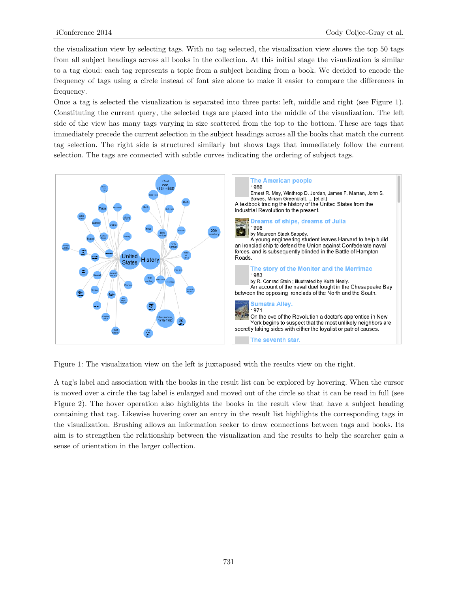the visualization view by selecting tags. With no tag selected, the visualization view shows the top 50 tags from all subject headings across all books in the collection. At this initial stage the visualization is similar to a tag cloud: each tag represents a topic from a subject heading from a book. We decided to encode the frequency of tags using a circle instead of font size alone to make it easier to compare the differences in frequency.

Once a tag is selected the visualization is separated into three parts: left, middle and right (see Figure 1). Constituting the current query, the selected tags are placed into the middle of the visualization. The left side of the view has many tags varying in size scattered from the top to the bottom. These are tags that immediately precede the current selection in the subject headings across all the books that match the current tag selection. The right side is structured similarly but shows tags that immediately follow the current selection. The tags are connected with subtle curves indicating the ordering of subject tags.



Figure 1: The visualization view on the left is juxtaposed with the results view on the right.

A tag's label and association with the books in the result list can be explored by hovering. When the cursor is moved over a circle the tag label is enlarged and moved out of the circle so that it can be read in full (see Figure 2). The hover operation also highlights the books in the result view that have a subject heading containing that tag. Likewise hovering over an entry in the result list highlights the corresponding tags in the visualization. Brushing allows an information seeker to draw connections between tags and books. Its aim is to strengthen the relationship between the visualization and the results to help the searcher gain a sense of orientation in the larger collection.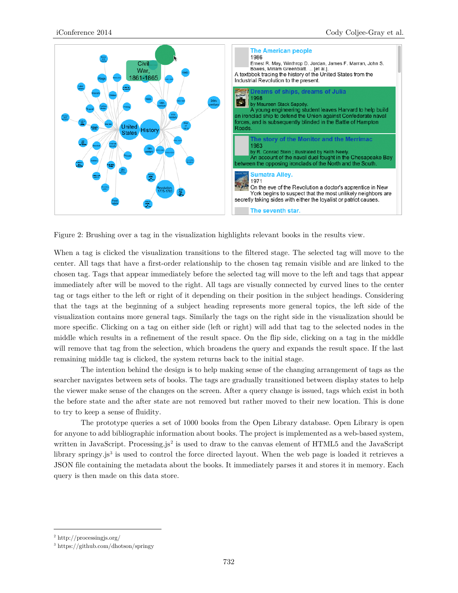

Figure 2: Brushing over a tag in the visualization highlights relevant books in the results view.

When a tag is clicked the visualization transitions to the filtered stage. The selected tag will move to the center. All tags that have a first-order relationship to the chosen tag remain visible and are linked to the chosen tag. Tags that appear immediately before the selected tag will move to the left and tags that appear immediately after will be moved to the right. All tags are visually connected by curved lines to the center tag or tags either to the left or right of it depending on their position in the subject headings. Considering that the tags at the beginning of a subject heading represents more general topics, the left side of the visualization contains more general tags. Similarly the tags on the right side in the visualization should be more specific. Clicking on a tag on either side (left or right) will add that tag to the selected nodes in the middle which results in a refinement of the result space. On the flip side, clicking on a tag in the middle will remove that tag from the selection, which broadens the query and expands the result space. If the last remaining middle tag is clicked, the system returns back to the initial stage.

The intention behind the design is to help making sense of the changing arrangement of tags as the searcher navigates between sets of books. The tags are gradually transitioned between display states to help the viewer make sense of the changes on the screen. After a query change is issued, tags which exist in both the before state and the after state are not removed but rather moved to their new location. This is done to try to keep a sense of fluidity.

The prototype queries a set of 1000 books from the Open Library database. Open Library is open for anyone to add bibliographic information about books. The project is implemented as a web-based system, written in JavaScript. Processing.js<sup>[2](#page-3-0)</sup> is used to draw to the canvas element of HTML5 and the JavaScript library springy.js<sup>[3](#page-3-1)</sup> is used to control the force directed layout. When the web page is loaded it retrieves a JSON file containing the metadata about the books. It immediately parses it and stores it in memory. Each query is then made on this data store.

<span id="page-3-0"></span><sup>2</sup> <http://processingjs.org/>

<span id="page-3-1"></span><sup>3</sup> <https://github.com/dhotson/springy>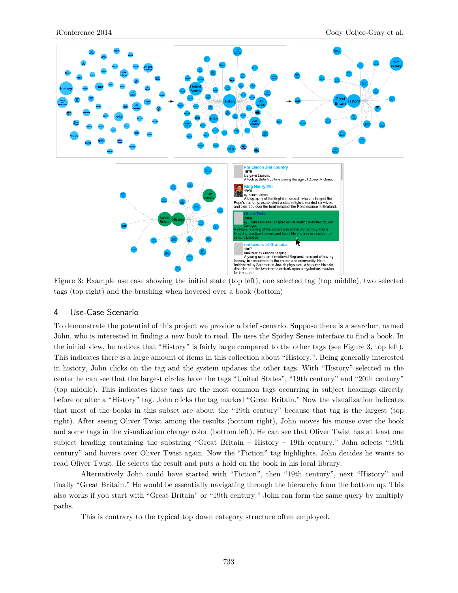

tags (top right) and the brushing when hovered over a book (bottom)

#### 4 Use-Case Scenario

To demonstrate the potential of this project we provide a brief scenario. Suppose there is a searcher, named John, who is interested in finding a new book to read. He uses the Spidey Sense interface to find a book. In the initial view, he notices that "History" is fairly large compared to the other tags (see Figure 3, top left). This indicates there is a large amount of items in this collection about "History.". Being generally interested in history, John clicks on the tag and the system updates the other tags. With "History" selected in the center he can see that the largest circles have the tags "United States", "19th century" and "20th century" (top middle). This indicates these tags are the most common tags occurring in subject headings directly before or after a "History" tag. John clicks the tag marked "Great Britain." Now the visualization indicates that most of the books in this subset are about the "19th century" because that tag is the largest (top right). After seeing Oliver Twist among the results (bottom right), John moves his mouse over the book and some tags in the visualization change color (bottom left). He can see that Oliver Twist has at least one subject heading containing the substring "Great Britain – History – 19th century." John selects "19th century" and hovers over Oliver Twist again. Now the "Fiction" tag highlights. John decides he wants to read Oliver Twist. He selects the result and puts a hold on the book in his local library.

Alternatively John could have started with "Fiction", then "19th century", next "History" and finally "Great Britain." He would be essentially navigating through the hierarchy from the bottom up. This also works if you start with "Great Britain" or "19th century." John can form the same query by multiply paths.

This is contrary to the typical top down category structure often employed.